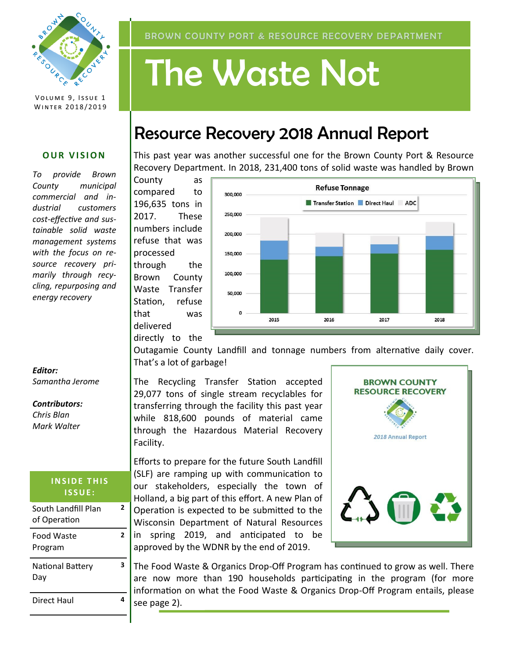

VOLUME 9, ISSUE 1 WINTER 2018/2019

#### **OUR VISION**

*To provide Brown County municipal commercial and industrial customers cost-effective and sustainable solid waste management systems with the focus on resource recovery primarily through recycling, repurposing and energy recovery*

#### BROWN COUNTY PORT & RESOURCE RECOVERY DEPARTMENT

# The Waste Not

## Resource Recovery 2018 Annual Report

This past year was another successful one for the Brown County Port & Resource Recovery Department. In 2018, 231,400 tons of solid waste was handled by Brown

County as compared to 196,635 tons in 2017. These numbers include refuse that was processed through the Brown County Waste Transfer Station, refuse that was delivered



directly to the

Outagamie County Landfill and tonnage numbers from alternative daily cover. That's a lot of garbage!

The Recycling Transfer Station accepted 29,077 tons of single stream recyclables for transferring through the facility this past year while 818,600 pounds of material came through the Hazardous Material Recovery Facility.

Efforts to prepare for the future South Landfill (SLF) are ramping up with communication to our stakeholders, especially the town of Holland, a big part of this effort. A new Plan of Operation is expected to be submitted to the Wisconsin Department of Natural Resources in spring 2019, and anticipated to be approved by the WDNR by the end of 2019.



The Food Waste & Organics Drop-Off Program has continued to grow as well. There are now more than 190 households participating in the program (for more information on what the Food Waste & Organics Drop-Off Program entails, please see page 2).

*Editor: Samantha Jerome*

#### *Contributors:*

*Chris Blan Mark Walter*

#### **INSIDE THIS I S S U E :**

| South Landfill Plan<br>of Operation |   |
|-------------------------------------|---|
| Food Waste<br>Program               | 2 |
| National Battery<br>Day             | 3 |
| Direct Haul                         |   |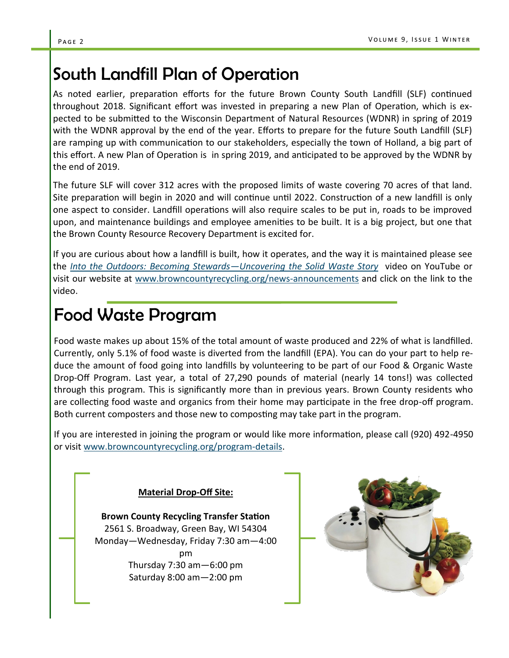## South Landfill Plan of Operation

As noted earlier, preparation efforts for the future Brown County South Landfill (SLF) continued throughout 2018. Significant effort was invested in preparing a new Plan of Operation, which is expected to be submitted to the Wisconsin Department of Natural Resources (WDNR) in spring of 2019 with the WDNR approval by the end of the year. Efforts to prepare for the future South Landfill (SLF) are ramping up with communication to our stakeholders, especially the town of Holland, a big part of this effort. A new Plan of Operation is in spring 2019, and anticipated to be approved by the WDNR by the end of 2019.

The future SLF will cover 312 acres with the proposed limits of waste covering 70 acres of that land. Site preparation will begin in 2020 and will continue until 2022. Construction of a new landfill is only one aspect to consider. Landfill operations will also require scales to be put in, roads to be improved upon, and maintenance buildings and employee amenities to be built. It is a big project, but one that the Brown County Resource Recovery Department is excited for.

If you are curious about how a landfill is built, how it operates, and the way it is maintained please see the *[Into the Outdoors: Becoming Stewards—Uncovering the Solid Waste Story](https://youtu.be/b3_3fpS6EjA)* video on YouTube or visit our website at [www.browncountyrecycling.org/news](https://www.browncountyrecycling.org/news-announcements)-announcements and click on the link to the video.

## Food Waste Program

Food waste makes up about 15% of the total amount of waste produced and 22% of what is landfilled. Currently, only 5.1% of food waste is diverted from the landfill (EPA). You can do your part to help reduce the amount of food going into landfills by volunteering to be part of our Food & Organic Waste Drop-Off Program. Last year, a total of 27,290 pounds of material (nearly 14 tons!) was collected through this program. This is significantly more than in previous years. Brown County residents who are collecting food waste and organics from their home may participate in the free drop-off program. Both current composters and those new to composting may take part in the program.

If you are interested in joining the program or would like more information, please call (920) 492-4950 or visit [www.browncountyrecycling.org/program](https://www.browncountyrecycling.org/program-details)-details.

#### **Material Drop-Off Site:**

**Brown County Recycling Transfer Station** 2561 S. Broadway, Green Bay, WI 54304 Monday—Wednesday, Friday 7:30 am—4:00 pm Thursday 7:30 am—6:00 pm Saturday 8:00 am—2:00 pm

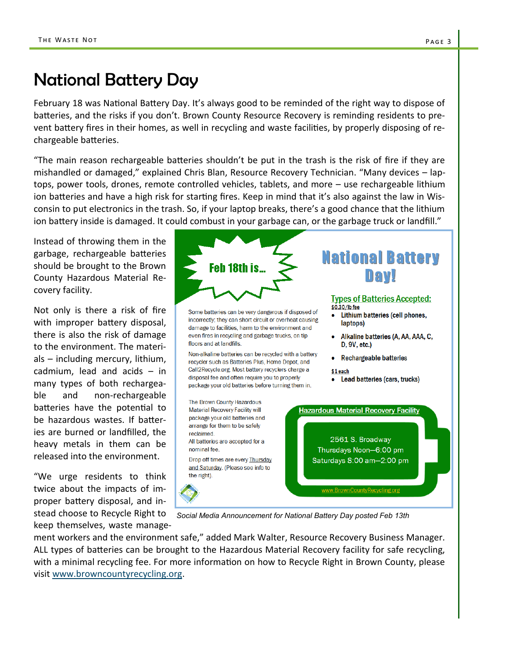## National Battery Day

February 18 was National Battery Day. It's always good to be reminded of the right way to dispose of batteries, and the risks if you don't. Brown County Resource Recovery is reminding residents to prevent battery fires in their homes, as well in recycling and waste facilities, by properly disposing of rechargeable batteries.

"The main reason rechargeable batteries shouldn't be put in the trash is the risk of fire if they are mishandled or damaged," explained Chris Blan, Resource Recovery Technician. "Many devices – laptops, power tools, drones, remote controlled vehicles, tablets, and more – use rechargeable lithium ion batteries and have a high risk for starting fires. Keep in mind that it's also against the law in Wisconsin to put electronics in the trash. So, if your laptop breaks, there's a good chance that the lithium ion battery inside is damaged. It could combust in your garbage can, or the garbage truck or landfill."

Instead of throwing them in the garbage, rechargeable batteries should be brought to the Brown County Hazardous Material Recovery facility.

Not only is there a risk of fire with improper battery disposal, there is also the risk of damage to the environment. The materials – including mercury, lithium, cadmium, lead and acids – in many types of both rechargeable and non-rechargeable batteries have the potential to be hazardous wastes. If batteries are burned or landfilled, the heavy metals in them can be released into the environment.

"We urge residents to think twice about the impacts of improper battery disposal, and instead choose to Recycle Right to keep themselves, waste manage-



*Social Media Announcement for National Battery Day posted Feb 13th*

ment workers and the environment safe," added Mark Walter, Resource Recovery Business Manager. ALL types of batteries can be brought to the Hazardous Material Recovery facility for safe recycling, with a minimal recycling fee. For more information on how to Recycle Right in Brown County, please visit [www.browncountyrecycling.org.](http://www.browncountyrecycling.org/)